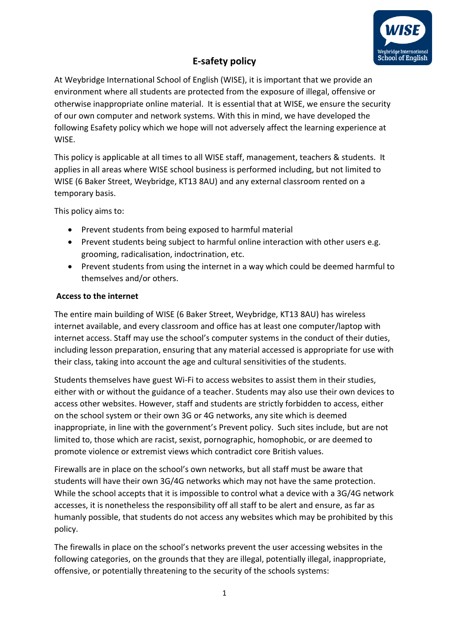

## **E-safety policy**

At Weybridge International School of English (WISE), it is important that we provide an environment where all students are protected from the exposure of illegal, offensive or otherwise inappropriate online material. It is essential that at WISE, we ensure the security of our own computer and network systems. With this in mind, we have developed the following Esafety policy which we hope will not adversely affect the learning experience at WISE.

This policy is applicable at all times to all WISE staff, management, teachers & students. It applies in all areas where WISE school business is performed including, but not limited to WISE (6 Baker Street, Weybridge, KT13 8AU) and any external classroom rented on a temporary basis.

This policy aims to:

- Prevent students from being exposed to harmful material
- Prevent students being subject to harmful online interaction with other users e.g. grooming, radicalisation, indoctrination, etc.
- Prevent students from using the internet in a way which could be deemed harmful to themselves and/or others.

## **Access to the internet**

The entire main building of WISE (6 Baker Street, Weybridge, KT13 8AU) has wireless internet available, and every classroom and office has at least one computer/laptop with internet access. Staff may use the school's computer systems in the conduct of their duties, including lesson preparation, ensuring that any material accessed is appropriate for use with their class, taking into account the age and cultural sensitivities of the students.

Students themselves have guest Wi-Fi to access websites to assist them in their studies, either with or without the guidance of a teacher. Students may also use their own devices to access other websites. However, staff and students are strictly forbidden to access, either on the school system or their own 3G or 4G networks, any site which is deemed inappropriate, in line with the government's Prevent policy. Such sites include, but are not limited to, those which are racist, sexist, pornographic, homophobic, or are deemed to promote violence or extremist views which contradict core British values.

Firewalls are in place on the school's own networks, but all staff must be aware that students will have their own 3G/4G networks which may not have the same protection. While the school accepts that it is impossible to control what a device with a 3G/4G network accesses, it is nonetheless the responsibility off all staff to be alert and ensure, as far as humanly possible, that students do not access any websites which may be prohibited by this policy.

The firewalls in place on the school's networks prevent the user accessing websites in the following categories, on the grounds that they are illegal, potentially illegal, inappropriate, offensive, or potentially threatening to the security of the schools systems: